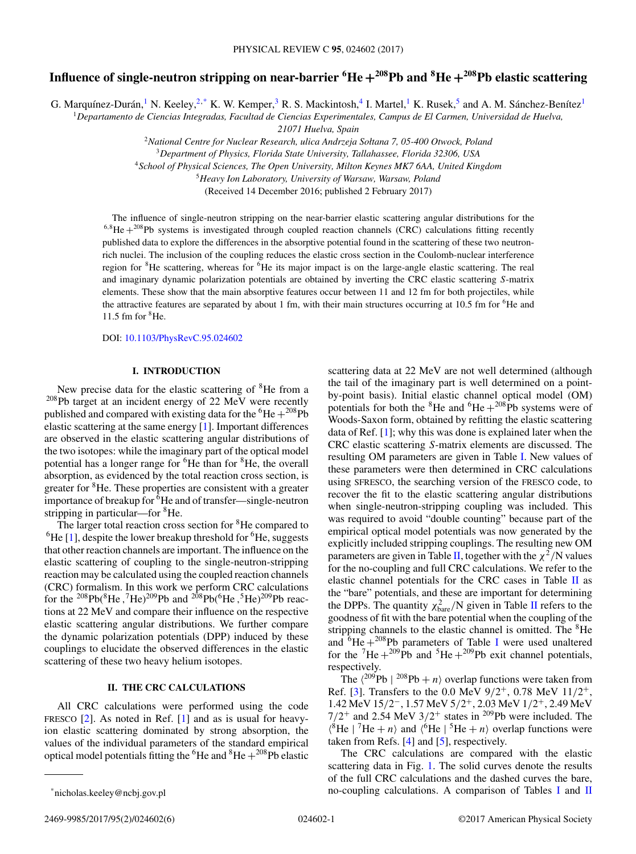# **Influence of single-neutron stripping on near-barrier <sup>6</sup> He <sup>+</sup>208Pb and <sup>8</sup> He <sup>+</sup>208Pb elastic scattering**

G. Marquínez-Durán, <sup>1</sup> N. Keeley, <sup>2,\*</sup> K. W. Kemper, <sup>3</sup> R. S. Mackintosh, <sup>4</sup> I. Martel, <sup>1</sup> K. Rusek, <sup>5</sup> and A. M. Sánchez-Benítez<sup>1</sup>

<sup>1</sup>*Departamento de Ciencias Integradas, Facultad de Ciencias Experimentales, Campus de El Carmen, Universidad de Huelva,*

*21071 Huelva, Spain*

<sup>2</sup>*National Centre for Nuclear Research, ulica Andrzeja Sołtana 7, 05-400 Otwock, Poland*

<sup>3</sup>*Department of Physics, Florida State University, Tallahassee, Florida 32306, USA*

<sup>4</sup>*School of Physical Sciences, The Open University, Milton Keynes MK7 6AA, United Kingdom*

<sup>5</sup>*Heavy Ion Laboratory, University of Warsaw, Warsaw, Poland*

(Received 14 December 2016; published 2 February 2017)

The influence of single-neutron stripping on the near-barrier elastic scattering angular distributions for the  $6.8$ He  $+^{208}$ Pb systems is investigated through coupled reaction channels (CRC) calculations fitting recently published data to explore the differences in the absorptive potential found in the scattering of these two neutronrich nuclei. The inclusion of the coupling reduces the elastic cross section in the Coulomb-nuclear interference region for <sup>8</sup>He scattering, whereas for <sup>6</sup>He its major impact is on the large-angle elastic scattering. The real and imaginary dynamic polarization potentials are obtained by inverting the CRC elastic scattering S-matrix elements. These show that the main absorptive features occur between 11 and 12 fm for both projectiles, while the attractive features are separated by about 1 fm, with their main structures occurring at 10.5 fm for <sup>6</sup>He and 11.5 fm for  ${}^{8}$ He.

DOI: [10.1103/PhysRevC.95.024602](https://doi.org/10.1103/PhysRevC.95.024602)

#### **I. INTRODUCTION**

New precise data for the elastic scattering of <sup>8</sup>He from a <sup>208</sup>Pb target at an incident energy of 22 MeV were recently published and compared with existing data for the  ${}^{6}$ He  $+{}^{208}$ Pb elastic scattering at the same energy [\[1\]](#page-5-0). Important differences are observed in the elastic scattering angular distributions of the two isotopes: while the imaginary part of the optical model potential has a longer range for <sup>6</sup>He than for <sup>8</sup>He, the overall absorption, as evidenced by the total reaction cross section, is greater for <sup>8</sup>He. These properties are consistent with a greater importance of breakup for  ${}^{6}$ He and of transfer—single-neutron stripping in particular—for <sup>8</sup>He.

The larger total reaction cross section for <sup>8</sup>He compared to  ${}^{6}$ He [\[1\]](#page-5-0), despite the lower breakup threshold for  ${}^{6}$ He, suggests that other reaction channels are important. The influence on the elastic scattering of coupling to the single-neutron-stripping reaction may be calculated using the coupled reaction channels (CRC) formalism. In this work we perform CRC calculations for the <sup>208</sup>Pb(<sup>8</sup>He,<sup>7</sup>He)<sup>209</sup>Pb and <sup>208</sup>Pb(<sup>6</sup>He,<sup>5</sup>He)<sup>209</sup>Pb reactions at 22 MeV and compare their influence on the respective elastic scattering angular distributions. We further compare the dynamic polarization potentials (DPP) induced by these couplings to elucidate the observed differences in the elastic scattering of these two heavy helium isotopes.

## **II. THE CRC CALCULATIONS**

All CRC calculations were performed using the code FRESCO [\[2\]](#page-5-0). As noted in Ref. [\[1\]](#page-5-0) and as is usual for heavyion elastic scattering dominated by strong absorption, the values of the individual parameters of the standard empirical optical model potentials fitting the  ${}^{6}$ He and  ${}^{8}$ He  $+{}^{208}$ Pb elastic

scattering data at 22 MeV are not well determined (although the tail of the imaginary part is well determined on a pointby-point basis). Initial elastic channel optical model (OM) potentials for both the  ${}^{8}$ He and  ${}^{6}$ He  $+{}^{208}$ Pb systems were of Woods-Saxon form, obtained by refitting the elastic scattering data of Ref. [\[1\]](#page-5-0); why this was done is explained later when the CRC elastic scattering S-matrix elements are discussed. The resulting OM parameters are given in Table [I.](#page-1-0) New values of these parameters were then determined in CRC calculations using SFRESCO, the searching version of the FRESCO code, to recover the fit to the elastic scattering angular distributions when single-neutron-stripping coupling was included. This was required to avoid "double counting" because part of the empirical optical model potentials was now generated by the explicitly included stripping couplings. The resulting new OM parameters are given in Table [II,](#page-1-0) together with the  $\chi^2/N$  values for the no-coupling and full CRC calculations. We refer to the elastic channel potentials for the CRC cases in Table [II](#page-1-0) as the "bare" potentials, and these are important for determining the DPPs. The quantity  $\chi_{\text{bare}}^2/N$  given in Table [II](#page-1-0) refers to the goodness of fit with the bare potential when the coupling of the stripping channels to the elastic channel is omitted. The <sup>8</sup>He and  ${}^{6}$ He + ${}^{208}$ Pb parameters of Table [I](#page-1-0) were used unaltered for the  ${}^{7}$ He + ${}^{209}$ Pb and  ${}^{5}$ He + ${}^{209}$ Pb exit channel potentials, respectively.

The  $\langle^{209}Pb \mid ^{208}Pb + n \rangle$  overlap functions were taken from Ref. [\[3\]](#page-5-0). Transfers to the 0.0 MeV  $9/2^+$ , 0.78 MeV  $11/2^+$ , 1.42 MeV 15/2−, 1.57 MeV 5/2+, 2.03 MeV 1/2+, 2.49 MeV  $7/2$ <sup>+</sup> and 2.54 MeV  $3/2$ <sup>+</sup> states in <sup>209</sup>Pb were included. The  $\langle ^8\text{He} \mid ^7\text{He} + n \rangle$  and  $\langle ^6\text{He} \mid ^5\text{He} + n \rangle$  overlap functions were taken from Refs. [\[4\]](#page-5-0) and [\[5\]](#page-5-0), respectively.

The CRC calculations are compared with the elastic scattering data in Fig. [1.](#page-1-0) The solid curves denote the results of the full CRC calculations and the dashed curves the bare, no-coupling calculations. A comparison of Tables [I](#page-1-0) and [II](#page-1-0)

<sup>\*</sup>nicholas.keeley@ncbj.gov.pl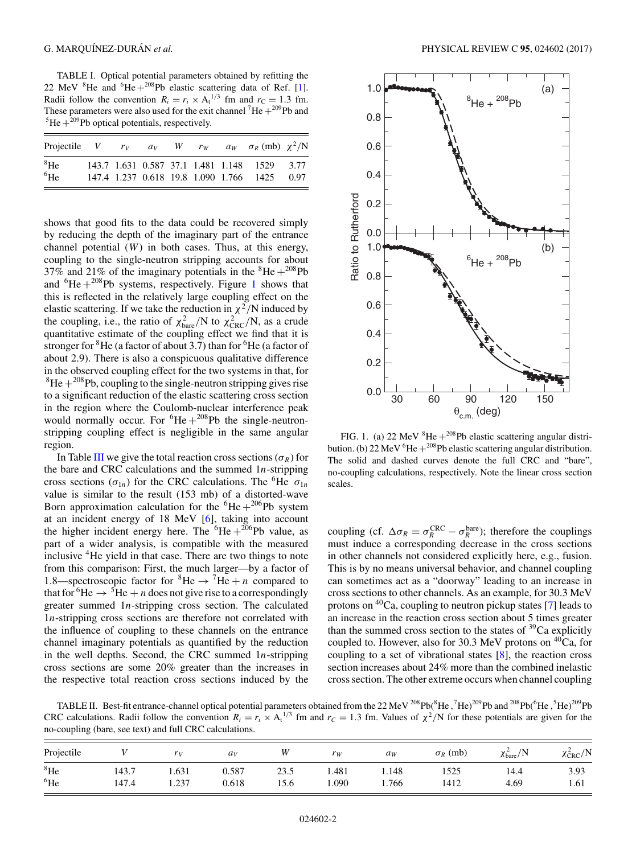<span id="page-1-0"></span>TABLE I. Optical potential parameters obtained by refitting the 22 MeV  ${}^{8}$ He and  ${}^{6}$ He  $+{}^{208}$ Pb elastic scattering data of Ref. [\[1\]](#page-5-0). Radii follow the convention  $R_i = r_i \times A_i^{1/3}$  fm and  $r_c = 1.3$  fm. These parameters were also used for the exit channel <sup>7</sup>He +<sup>209</sup>Pb and <sup>5</sup>He +<sup>209</sup>Pb ontical potentials, respectively.  ${}^{5}$ He  $+{}^{209}$ Pb optical potentials, respectively.

| Projectile V $r_V$ $a_V$ W $r_W$ $a_W$ $\sigma_R$ (mb) $\chi^2/N$ |  |  |  |                                              |      |
|-------------------------------------------------------------------|--|--|--|----------------------------------------------|------|
| ${}^{8}$ He                                                       |  |  |  | 143.7 1.631 0.587 37.1 1.481 1.148 1529 3.77 |      |
| ${}^{6}$ He                                                       |  |  |  | 147.4 1.237 0.618 19.8 1.090 1.766 1425      | 0.97 |

shows that good fits to the data could be recovered simply by reducing the depth of the imaginary part of the entrance channel potential  $(W)$  in both cases. Thus, at this energy, coupling to the single-neutron stripping accounts for about 37% and 21% of the imaginary potentials in the  ${}^{8}$ He +  ${}^{208}$ Pb and  ${}^{6}\text{He} + {}^{208}\text{Pb}$  systems, respectively. Figure 1 shows that this is reflected in the relatively large coupling effect on the elastic scattering. If we take the reduction in  $\chi^2/N$  induced by the coupling, i.e., the ratio of  $\chi^2_{\text{bare}}/N$  to  $\chi^2_{\text{CRC}}/N$ , as a crude quantitative estimate of the coupling effect we find that it is stronger for  ${}^{8}$ He (a factor of about 3.7) than for  ${}^{6}$ He (a factor of about 2.9). There is also a conspicuous qualitative difference in the observed coupling effect for the two systems in that, for  ${}^{8}$ He  $+{}^{208}$ Pb, coupling to the single-neutron stripping gives rise to a significant reduction of the elastic scattering cross section in the region where the Coulomb-nuclear interference peak would normally occur. For  ${}^{6}$ He  $+{}^{208}$ Pb the single-neutronstripping coupling effect is negligible in the same angular region.

In Table [III](#page-2-0) we give the total reaction cross sections ( $\sigma_R$ ) for the bare and CRC calculations and the summed  $1n$ -stripping cross sections ( $\sigma_{1n}$ ) for the CRC calculations. The <sup>6</sup>He  $\sigma_{1n}$ value is similar to the result (153 mb) of a distorted-wave Born approximation calculation for the  ${}^{6}$ He +  ${}^{206}$ Pb system at an incident energy of 18 MeV [\[6\]](#page-5-0), taking into account the higher incident energy here. The  ${}^{6}$ He +  ${}^{206}$ Pb value, as part of a wider analysis, is compatible with the measured inclusive  ${}^{4}$ He yield in that case. There are two things to note from this comparison: First, the much larger—by a factor of 1.8—spectroscopic factor for  ${}^{8}$ He  $\rightarrow {}^{7}$ He + n compared to that for <sup>6</sup>He  $\rightarrow$  <sup>5</sup>He + *n* does not give rise to a correspondingly greater summed 1n-stripping cross section. The calculated 1n-stripping cross sections are therefore not correlated with the influence of coupling to these channels on the entrance channel imaginary potentials as quantified by the reduction in the well depths. Second, the CRC summed  $1n$ -stripping cross sections are some 20% greater than the increases in the respective total reaction cross sections induced by the



FIG. 1. (a) 22 MeV  ${}^{8}$ He + <sup>208</sup>Pb elastic scattering angular distribution. (b) 22 MeV  ${}^{6}$ He  $+{}^{208}$ Pb elastic scattering angular distribution. The solid and dashed curves denote the full CRC and "bare", no-coupling calculations, respectively. Note the linear cross section scales.

coupling (cf.  $\Delta \sigma_R = \sigma_R^{\text{CRC}} - \sigma_R^{\text{bare}}$ ); therefore the couplings must induce a corresponding decrease in the cross sections in other channels not considered explicitly here, e.g., fusion. This is by no means universal behavior, and channel coupling can sometimes act as a "doorway" leading to an increase in cross sections to other channels. As an example, for 30.3 MeV protons on  ${}^{40}Ca$ , coupling to neutron pickup states [\[7\]](#page-5-0) leads to an increase in the reaction cross section about 5 times greater than the summed cross section to the states of  $^{39}$ Ca explicitly coupled to. However, also for 30.3 MeV protons on  ${}^{40}Ca$ , for coupling to a set of vibrational states [\[8\]](#page-5-0), the reaction cross section increases about 24% more than the combined inelastic cross section. The other extreme occurs when channel coupling

TABLE II. Best-fit entrance-channel optical potential parameters obtained from the 22 MeV  $^{208}$ Pb( $^8$ He,  $^7$ He) $^{209}$ Pb and  $^{208}$ Pb( $^6$ He,  $^5$ He) $^{209}$ Pb CRC calculations. Radii follow the convention  $R_i = r_i \times A_i^{1/3}$  fm and  $r_C = 1.3$  fm. Values of  $\chi^2/N$  for these potentials are given for the no-coupling (bare, see text) and full CRC calculations.

| Projectile      |       | r <sub>v</sub> | $a_v$ |      | $r_W$ | $a_W$ | $\sigma_R$ (mb) | /N<br>$\chi^2_{\text{bare}}$ | $\lambda$ crc $/$ <sup>N</sup> |
|-----------------|-------|----------------|-------|------|-------|-------|-----------------|------------------------------|--------------------------------|
| ${}^{8}$ He     | 143.7 | 1.631          | 0.587 | 23.5 | 1.481 | 1.148 | 1525            | 14.4                         | 3.93                           |
| $^6\mathrm{He}$ | 147.4 | 1.237          | 0.618 | 15.6 | .090  | 1.766 | 1412            | 4.69                         | 1.61                           |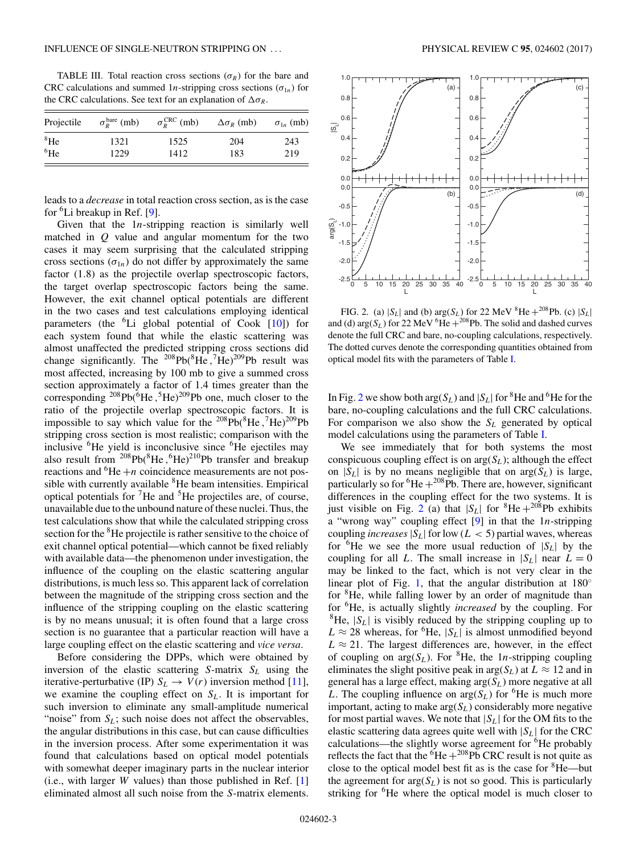<span id="page-2-0"></span>TABLE III. Total reaction cross sections ( $\sigma_R$ ) for the bare and CRC calculations and summed 1*n*-stripping cross sections ( $\sigma_{1n}$ ) for the CRC calculations. See text for an explanation of  $\Delta \sigma_R$ .

| Projectile  | $\sigma_R^{\text{bare}}$ (mb) | $\sigma_{R}^{\text{CRC}}$ (mb) | $\Delta \sigma_R$ (mb) | $\sigma_{1n}$ (mb) |
|-------------|-------------------------------|--------------------------------|------------------------|--------------------|
| ${}^{8}$ He | 1321                          | 1525                           | 204                    | 243                |
| ${}^{6}$ He | 1229                          | 1412                           | 183                    | 219                |

leads to a *decrease* in total reaction cross section, as is the case for <sup>6</sup>Li breakup in Ref. [\[9\]](#page-5-0).

Given that the  $1n$ -stripping reaction is similarly well matched in  $Q$  value and angular momentum for the two cases it may seem surprising that the calculated stripping cross sections  $(\sigma_{1n})$  do not differ by approximately the same factor (1.8) as the projectile overlap spectroscopic factors, the target overlap spectroscopic factors being the same. However, the exit channel optical potentials are different in the two cases and test calculations employing identical parameters (the <sup>6</sup>Li global potential of Cook [\[10\]](#page-5-0)) for each system found that while the elastic scattering was almost unaffected the predicted stripping cross sections did change significantly. The  $^{208}Pb(^{8}He$ ,  $^{7}He)^{209}Pb$  result was most affected, increasing by 100 mb to give a summed cross section approximately a factor of 1.4 times greater than the corresponding  $^{208}Pb(^{6}He$ ,  $^{5}He)^{209}Pb$  one, much closer to the ratio of the projectile overlap spectroscopic factors. It is impossible to say which value for the  $^{208}Pb(^{8}He$ ,  $^{7}He)^{209}Pb$ stripping cross section is most realistic; comparison with the inclusive <sup>6</sup> He yield is inconclusive since <sup>6</sup> He ejectiles may also result from  $^{208}Pb(^{8}He, ^{6}He)^{210}Pb$  transfer and breakup reactions and  ${}^{6}$ He +n coincidence measurements are not possible with currently available <sup>8</sup>He beam intensities. Empirical optical potentials for  ${}^{7}$ He and  ${}^{5}$ He projectiles are, of course, unavailable due to the unbound nature of these nuclei. Thus, the test calculations show that while the calculated stripping cross section for the <sup>8</sup>He projectile is rather sensitive to the choice of exit channel optical potential—which cannot be fixed reliably with available data—the phenomenon under investigation, the influence of the coupling on the elastic scattering angular distributions, is much less so. This apparent lack of correlation between the magnitude of the stripping cross section and the influence of the stripping coupling on the elastic scattering is by no means unusual; it is often found that a large cross section is no guarantee that a particular reaction will have a large coupling effect on the elastic scattering and *vice versa*.

Before considering the DPPs, which were obtained by inversion of the elastic scattering  $S$ -matrix  $S_L$  using the iterative-perturbative (IP)  $S_L \rightarrow V(r)$  inversion method [\[11\]](#page-5-0), we examine the coupling effect on  $S_L$ . It is important for such inversion to eliminate any small-amplitude numerical "noise" from  $S_L$ ; such noise does not affect the observables, the angular distributions in this case, but can cause difficulties in the inversion process. After some experimentation it was found that calculations based on optical model potentials with somewhat deeper imaginary parts in the nuclear interior (i.e., with larger  $W$  values) than those published in Ref.  $[1]$ eliminated almost all such noise from the S-matrix elements.



FIG. 2. (a)  $|S_L|$  and (b)  $\arg(S_L)$  for 22 MeV  ${}^{8}$ He +  ${}^{208}$ Pb. (c)  $|S_L|$ and (d)  $\arg(S_L)$  for 22 MeV <sup>6</sup>He  $+^{208}$ Pb. The solid and dashed curves denote the full CRC and bare, no-coupling calculations, respectively. The dotted curves denote the corresponding quantities obtained from optical model fits with the parameters of Table [I.](#page-1-0)

In Fig. 2 we show both  $\arg(S_L)$  and  $|S_L|$  for <sup>8</sup>He and <sup>6</sup>He for the bare, no-coupling calculations and the full CRC calculations. For comparison we also show the  $S_L$  generated by optical model calculations using the parameters of Table [I.](#page-1-0)

We see immediately that for both systems the most conspicuous coupling effect is on  $arg(S_L)$ ; although the effect on  $|S_L|$  is by no means negligible that on  $arg(S_L)$  is large, particularly so for  ${}^{6}$ He  $+{}^{208}$ Pb. There are, however, significant differences in the coupling effect for the two systems. It is just visible on Fig. 2 (a) that  $|S_L|$  for <sup>8</sup>He + <sup>208</sup>Pb exhibits a "wrong way" coupling effect  $[9]$  in that the 1*n*-stripping coupling *increases*  $|S_L|$  for low ( $L < 5$ ) partial waves, whereas for  ${}^{6}$ He we see the more usual reduction of  $|S_L|$  by the coupling for all L. The small increase in  $|S_L|$  near  $L = 0$ may be linked to the fact, which is not very clear in the linear plot of Fig. [1,](#page-1-0) that the angular distribution at  $180^\circ$ for <sup>8</sup>He, while falling lower by an order of magnitude than for <sup>6</sup> He, is actually slightly *increased* by the coupling. For <sup>8</sup>He,  $|S_L|$  is visibly reduced by the stripping coupling up to  $L \approx 28$  whereas, for <sup>6</sup>He,  $|S_L|$  is almost unmodified beyond  $L \approx 21$ . The largest differences are, however, in the effect of coupling on  $arg(S_L)$ . For <sup>8</sup>He, the 1*n*-stripping coupling eliminates the slight positive peak in  $arg(S_L)$  at  $L \approx 12$  and in general has a large effect, making  $arg(S_L)$  more negative at all L. The coupling influence on  $arg(S_L)$  for <sup>6</sup>He is much more important, acting to make  $arg(S_L)$  considerably more negative for most partial waves. We note that  $|S_L|$  for the OM fits to the elastic scattering data agrees quite well with  $|S_L|$  for the CRC calculations—the slightly worse agreement for <sup>6</sup>He probably reflects the fact that the  ${}^{6}$ He +  ${}^{208}$ Pb CRC result is not quite as close to the optical model best fit as is the case for <sup>8</sup>He—but the agreement for  $arg(S_L)$  is not so good. This is particularly striking for <sup>6</sup>He where the optical model is much closer to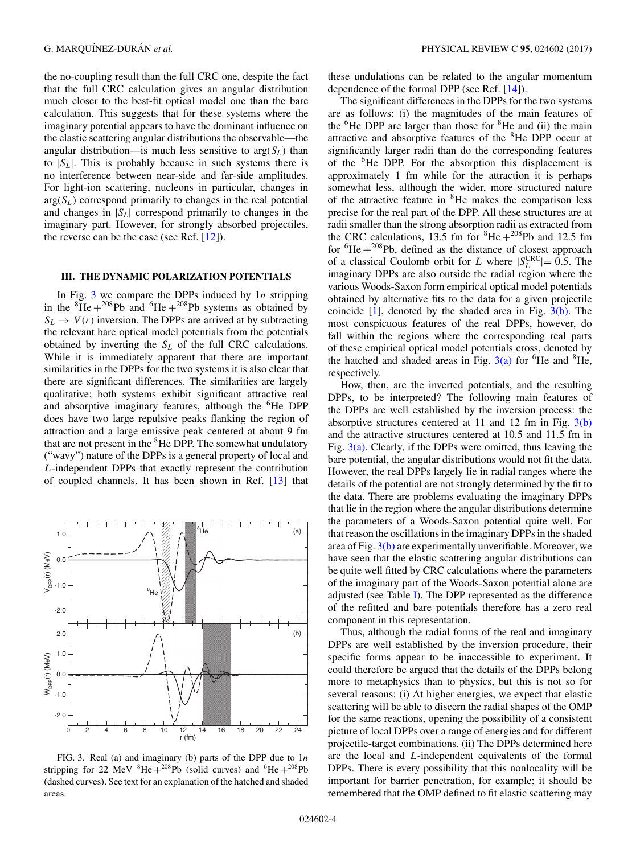the no-coupling result than the full CRC one, despite the fact that the full CRC calculation gives an angular distribution much closer to the best-fit optical model one than the bare calculation. This suggests that for these systems where the imaginary potential appears to have the dominant influence on the elastic scattering angular distributions the observable—the angular distribution—is much less sensitive to  $arg(S_L)$  than to  $|S_L|$ . This is probably because in such systems there is no interference between near-side and far-side amplitudes. For light-ion scattering, nucleons in particular, changes in  $arg(S_L)$  correspond primarily to changes in the real potential and changes in  $|S_L|$  correspond primarily to changes in the imaginary part. However, for strongly absorbed projectiles, the reverse can be the case (see Ref. [\[12\]](#page-5-0)).

### **III. THE DYNAMIC POLARIZATION POTENTIALS**

In Fig. 3 we compare the DPPs induced by  $1n$  stripping in the  ${}^{8}$ He +  ${}^{208}$ Pb and  ${}^{6}$ He +  ${}^{208}$ Pb systems as obtained by  $S_L \rightarrow V(r)$  inversion. The DPPs are arrived at by subtracting the relevant bare optical model potentials from the potentials obtained by inverting the  $S_L$  of the full CRC calculations. While it is immediately apparent that there are important similarities in the DPPs for the two systems it is also clear that there are significant differences. The similarities are largely qualitative; both systems exhibit significant attractive real and absorptive imaginary features, although the <sup>6</sup>He DPP does have two large repulsive peaks flanking the region of attraction and a large emissive peak centered at about 9 fm that are not present in the <sup>8</sup>He DPP. The somewhat undulatory ("wavy") nature of the DPPs is a general property of local and L-independent DPPs that exactly represent the contribution of coupled channels. It has been shown in Ref. [\[13\]](#page-5-0) that



FIG. 3. Real (a) and imaginary (b) parts of the DPP due to  $1n$ stripping for 22 MeV  ${}^{8}$ He +  ${}^{208}$ Pb (solid curves) and  ${}^{6}$ He +  ${}^{208}$ Pb (dashed curves). See text for an explanation of the hatched and shaded areas.

these undulations can be related to the angular momentum dependence of the formal DPP (see Ref. [\[14\]](#page-5-0)).

The significant differences in the DPPs for the two systems are as follows: (i) the magnitudes of the main features of the <sup>6</sup>He DPP are larger than those for <sup>8</sup>He and (ii) the main attractive and absorptive features of the <sup>8</sup>He DPP occur at significantly larger radii than do the corresponding features of the <sup>6</sup> He DPP. For the absorption this displacement is approximately 1 fm while for the attraction it is perhaps somewhat less, although the wider, more structured nature of the attractive feature in <sup>8</sup>He makes the comparison less precise for the real part of the DPP. All these structures are at radii smaller than the strong absorption radii as extracted from the CRC calculations, 13.5 fm for  ${}^{8}$ He +  ${}^{208}$ Pb and 12.5 fm for  ${}^{6}$ He + ${}^{208}$ Pb, defined as the distance of closest approach of a classical Coulomb orbit for L where  $|S_L^{\text{CRC}}|= 0.5$ . The imaginary DPPs are also outside the radial region where the various Woods-Saxon form empirical optical model potentials obtained by alternative fits to the data for a given projectile coincide  $[1]$ , denoted by the shaded area in Fig.  $3(b)$ . The most conspicuous features of the real DPPs, however, do fall within the regions where the corresponding real parts of these empirical optical model potentials cross, denoted by the hatched and shaded areas in Fig.  $3(a)$  for <sup>6</sup>He and <sup>8</sup>He, respectively.

How, then, are the inverted potentials, and the resulting DPPs, to be interpreted? The following main features of the DPPs are well established by the inversion process: the absorptive structures centered at 11 and 12 fm in Fig.  $3(b)$ and the attractive structures centered at 10.5 and 11.5 fm in Fig.  $3(a)$ . Clearly, if the DPPs were omitted, thus leaving the bare potential, the angular distributions would not fit the data. However, the real DPPs largely lie in radial ranges where the details of the potential are not strongly determined by the fit to the data. There are problems evaluating the imaginary DPPs that lie in the region where the angular distributions determine the parameters of a Woods-Saxon potential quite well. For that reason the oscillations in the imaginary DPPs in the shaded area of Fig. 3(b) are experimentally unverifiable. Moreover, we have seen that the elastic scattering angular distributions can be quite well fitted by CRC calculations where the parameters of the imaginary part of the Woods-Saxon potential alone are adjusted (see Table [I\)](#page-1-0). The DPP represented as the difference of the refitted and bare potentials therefore has a zero real component in this representation.

Thus, although the radial forms of the real and imaginary DPPs are well established by the inversion procedure, their specific forms appear to be inaccessible to experiment. It could therefore be argued that the details of the DPPs belong more to metaphysics than to physics, but this is not so for several reasons: (i) At higher energies, we expect that elastic scattering will be able to discern the radial shapes of the OMP for the same reactions, opening the possibility of a consistent picture of local DPPs over a range of energies and for different projectile-target combinations. (ii) The DPPs determined here are the local and L-independent equivalents of the formal DPPs. There is every possibility that this nonlocality will be important for barrier penetration, for example; it should be remembered that the OMP defined to fit elastic scattering may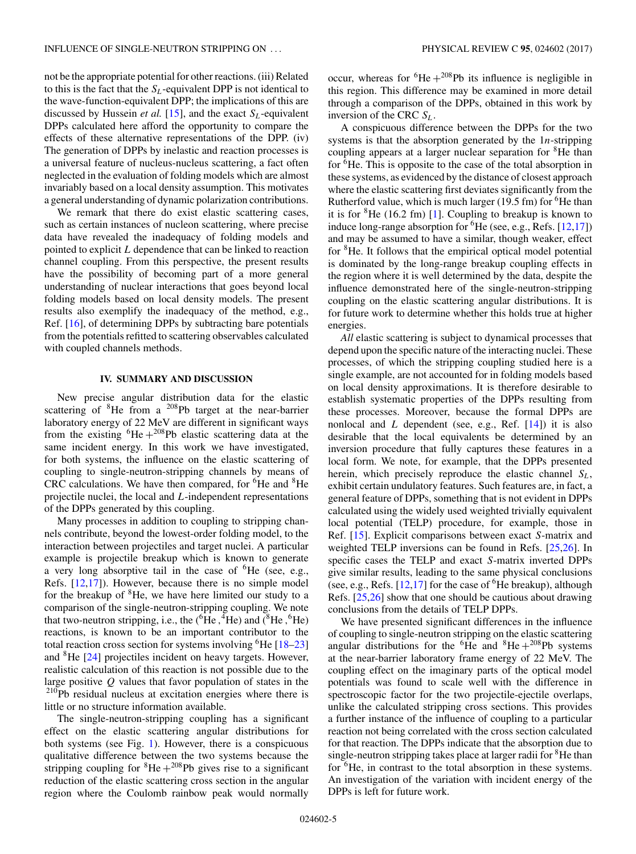not be the appropriate potential for other reactions. (iii) Related to this is the fact that the  $S_L$ -equivalent DPP is not identical to the wave-function-equivalent DPP; the implications of this are discussed by Hussein *et al.* [\[15\]](#page-5-0), and the exact  $S_L$ -equivalent DPPs calculated here afford the opportunity to compare the effects of these alternative representations of the DPP. (iv) The generation of DPPs by inelastic and reaction processes is a universal feature of nucleus-nucleus scattering, a fact often neglected in the evaluation of folding models which are almost invariably based on a local density assumption. This motivates a general understanding of dynamic polarization contributions.

We remark that there do exist elastic scattering cases, such as certain instances of nucleon scattering, where precise data have revealed the inadequacy of folding models and pointed to explicit  $L$  dependence that can be linked to reaction channel coupling. From this perspective, the present results have the possibility of becoming part of a more general understanding of nuclear interactions that goes beyond local folding models based on local density models. The present results also exemplify the inadequacy of the method, e.g., Ref. [\[16\]](#page-5-0), of determining DPPs by subtracting bare potentials from the potentials refitted to scattering observables calculated with coupled channels methods.

## **IV. SUMMARY AND DISCUSSION**

New precise angular distribution data for the elastic scattering of  ${}^{8}$ He from a  ${}^{208}$ Pb target at the near-barrier laboratory energy of 22 MeV are different in significant ways from the existing  ${}^{6}$ He +  ${}^{208}$ Pb elastic scattering data at the same incident energy. In this work we have investigated, for both systems, the influence on the elastic scattering of coupling to single-neutron-stripping channels by means of CRC calculations. We have then compared, for <sup>6</sup>He and <sup>8</sup>He projectile nuclei, the local and L-independent representations of the DPPs generated by this coupling.

Many processes in addition to coupling to stripping channels contribute, beyond the lowest-order folding model, to the interaction between projectiles and target nuclei. A particular example is projectile breakup which is known to generate a very long absorptive tail in the case of <sup>6</sup>He (see, e.g., Refs. [\[12,17\]](#page-5-0)). However, because there is no simple model for the breakup of <sup>8</sup>He, we have here limited our study to a comparison of the single-neutron-stripping coupling. We note that two-neutron stripping, i.e., the  $({}^{6}\text{He}, {}^{4}\text{He})$  and  $({}^{8}\text{He}, {}^{6}\text{He})$ reactions, is known to be an important contributor to the total reaction cross section for systems involving <sup>6</sup>He [18-23] and <sup>8</sup>He [\[24\]](#page-5-0) projectiles incident on heavy targets. However, realistic calculation of this reaction is not possible due to the large positive  $Q$  values that favor population of states in the <sup>210</sup>Pb residual nucleus at excitation energies where there is little or no structure information available.

The single-neutron-stripping coupling has a significant effect on the elastic scattering angular distributions for both systems (see Fig. [1\)](#page-1-0). However, there is a conspicuous qualitative difference between the two systems because the stripping coupling for  ${}^{8}$ He + ${}^{208}$ Pb gives rise to a significant reduction of the elastic scattering cross section in the angular region where the Coulomb rainbow peak would normally

occur, whereas for  ${}^{6}$ He + ${}^{208}$ Pb its influence is negligible in this region. This difference may be examined in more detail through a comparison of the DPPs, obtained in this work by inversion of the CRC  $S_L$ .

A conspicuous difference between the DPPs for the two systems is that the absorption generated by the  $1n$ -stripping coupling appears at a larger nuclear separation for <sup>8</sup>He than for  ${}^{\bar{6}}$ He. This is opposite to the case of the total absorption in these systems, as evidenced by the distance of closest approach where the elastic scattering first deviates significantly from the Rutherford value, which is much larger  $(19.5 \text{ fm})$  for <sup>6</sup>He than it is for  ${}^{8}$ He (16.2 fm) [\[1\]](#page-5-0). Coupling to breakup is known to induce long-range absorption for <sup>6</sup>He (see, e.g., Refs. [\[12,17\]](#page-5-0)) and may be assumed to have a similar, though weaker, effect for <sup>8</sup>He. It follows that the empirical optical model potential is dominated by the long-range breakup coupling effects in the region where it is well determined by the data, despite the influence demonstrated here of the single-neutron-stripping coupling on the elastic scattering angular distributions. It is for future work to determine whether this holds true at higher energies.

*All* elastic scattering is subject to dynamical processes that depend upon the specific nature of the interacting nuclei. These processes, of which the stripping coupling studied here is a single example, are not accounted for in folding models based on local density approximations. It is therefore desirable to establish systematic properties of the DPPs resulting from these processes. Moreover, because the formal DPPs are nonlocal and  $L$  dependent (see, e.g., Ref.  $[14]$ ) it is also desirable that the local equivalents be determined by an inversion procedure that fully captures these features in a local form. We note, for example, that the DPPs presented herein, which precisely reproduce the elastic channel  $S_L$ , exhibit certain undulatory features. Such features are, in fact, a general feature of DPPs, something that is not evident in DPPs calculated using the widely used weighted trivially equivalent local potential (TELP) procedure, for example, those in Ref. [\[15\]](#page-5-0). Explicit comparisons between exact S-matrix and weighted TELP inversions can be found in Refs. [\[25,26\]](#page-5-0). In specific cases the TELP and exact S-matrix inverted DPPs give similar results, leading to the same physical conclusions (see, e.g., Refs.  $[12,17]$  for the case of <sup>6</sup>He breakup), although Refs. [\[25,26\]](#page-5-0) show that one should be cautious about drawing conclusions from the details of TELP DPPs.

We have presented significant differences in the influence of coupling to single-neutron stripping on the elastic scattering angular distributions for the <sup>6</sup>He and <sup>8</sup>He +<sup>208</sup>Pb systems at the near-barrier laboratory frame energy of 22 MeV. The coupling effect on the imaginary parts of the optical model potentials was found to scale well with the difference in spectroscopic factor for the two projectile-ejectile overlaps, unlike the calculated stripping cross sections. This provides a further instance of the influence of coupling to a particular reaction not being correlated with the cross section calculated for that reaction. The DPPs indicate that the absorption due to single-neutron stripping takes place at larger radii for <sup>8</sup>He than for <sup>6</sup>He, in contrast to the total absorption in these systems. An investigation of the variation with incident energy of the DPPs is left for future work.